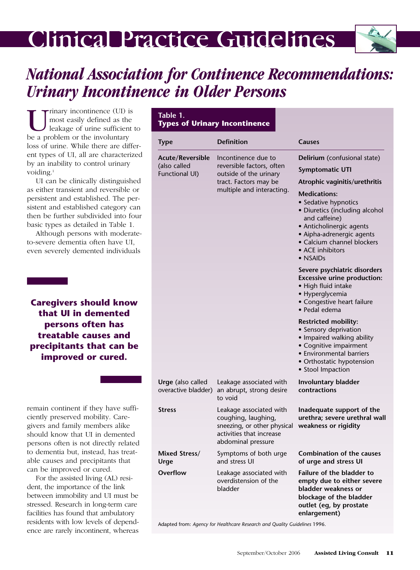# **Clinical Practice Guidelines**



# *National Association for Continence Recommendations: Urinary Incontinence in Older Persons*

Urinary incontinence (UI) is<br>most easily defined as the<br>leakage of urine sufficient<br>be a problem or the involuntary most easily defined as the leakage of urine sufficient to be a problem or the involuntary loss of urine. While there are different types of UI, all are characterized by an inability to control urinary voiding.<sup>1</sup>

UI can be clinically distinguished as either transient and reversible or persistent and established. The persistent and established category can then be further subdivided into four basic types as detailed in Table 1.

Although persons with moderateto-severe dementia often have UI, even severely demented individuals

**Caregivers should know that UI in demented persons often has treatable causes and precipitants that can be improved or cured.** 

remain continent if they have sufficiently preserved mobility. Caregivers and family members alike should know that UI in demented persons often is not directly related to dementia but, instead, has treatable causes and precipitants that can be improved or cured.

For the assisted living (AL) resident, the importance of the link between immobility and UI must be stressed. Research in long-term care facilities has found that ambulatory residents with low levels of dependence are rarely incontinent, whereas

| Table 1.<br><b>Types of Urinary Incontinence</b>          |                                                                                                                                  |                                                                                                                                                                                                |  |
|-----------------------------------------------------------|----------------------------------------------------------------------------------------------------------------------------------|------------------------------------------------------------------------------------------------------------------------------------------------------------------------------------------------|--|
| <b>Type</b>                                               | <b>Definition</b>                                                                                                                | Causes                                                                                                                                                                                         |  |
| <b>Acute/Reversible</b><br>(also called<br>Functional UI) | Incontinence due to<br>reversible factors, often<br>outside of the urinary<br>tract. Factors may be<br>multiple and interacting. | Delirium (confusional state)<br><b>Symptomatic UTI</b>                                                                                                                                         |  |
|                                                           |                                                                                                                                  | Atrophic vaginitis/urethritis<br><b>Medications:</b>                                                                                                                                           |  |
|                                                           |                                                                                                                                  | • Sedative hypnotics<br>· Diuretics (including alcohol<br>and caffeine)<br>• Anticholinergic agents<br>• Aipha-adrenergic agents<br>• Calcium channel blockers<br>• ACE inhibitors<br>• NSAIDs |  |
|                                                           |                                                                                                                                  | Severe psychiatric disorders<br><b>Excessive urine production:</b><br>• High fluid intake<br>• Hyperglycemia<br>• Congestive heart failure<br>· Pedal edema                                    |  |
|                                                           |                                                                                                                                  | <b>Restricted mobility:</b><br>• Sensory deprivation<br>• Impaired walking ability<br>• Cognitive impairment<br>• Environmental barriers<br>• Orthostatic hypotension<br>• Stool Impaction     |  |
| <b>Urge</b> (also called<br>overactive bladder)           | Leakage associated with<br>an abrupt, strong desire<br>to void                                                                   | Involuntary bladder<br>contractions                                                                                                                                                            |  |
| <b>Stress</b>                                             | Leakage associated with<br>coughing, laughing,<br>sneezing, or other physical<br>activities that increase                        | Inadequate support of the<br>urethra; severe urethral wall<br>weakness or rigidity                                                                                                             |  |
|                                                           | abdominal pressure                                                                                                               |                                                                                                                                                                                                |  |
| Mixed Stress/<br>Urge                                     | Symptoms of both urge<br>and stress UI                                                                                           | Combination of the causes<br>of urge and stress UI                                                                                                                                             |  |
| Overflow                                                  | Leakage associated with<br>overdistension of the<br>bladder                                                                      | Failure of the bladder to<br>empty due to either severe<br>bladder weakness or<br>blockage of the bladder<br>outlet (eg, by prostate<br>enlargement)                                           |  |

Adapted from: *Agency for Healthcare Research and Quality Guidelines* 1996.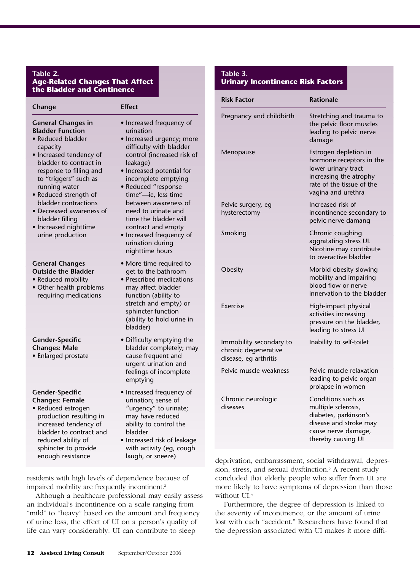### **Table 2. Age-Related Changes That Affect the Bladder and Continence**

| Change                                                                                                                                                                                                                                                                                                                                                       | <b>Effect</b>                                                                                                                                                                                                                                                                                                                                                                                              |
|--------------------------------------------------------------------------------------------------------------------------------------------------------------------------------------------------------------------------------------------------------------------------------------------------------------------------------------------------------------|------------------------------------------------------------------------------------------------------------------------------------------------------------------------------------------------------------------------------------------------------------------------------------------------------------------------------------------------------------------------------------------------------------|
| <b>General Changes in</b><br><b>Bladder Function</b><br>• Reduced bladder<br>capacity<br>· Increased tendency of<br>bladder to contract in<br>response to filling and<br>to "triggers" such as<br>running water<br>• Reduced strength of<br>bladder contractions<br>· Decreased awareness of<br>bladder filling<br>• Increased nighttime<br>urine production | • Increased frequency of<br>urination<br>· Increased urgency; more<br>difficulty with bladder<br>control (increased risk of<br>leakage)<br>• Increased potential for<br>incomplete emptying<br>· Reduced "response<br>time"-ie, less time<br>between awareness of<br>need to urinate and<br>time the bladder will<br>contract and empty<br>• Increased frequency of<br>urination during<br>nighttime hours |
| <b>General Changes</b><br><b>Outside the Bladder</b><br>• Reduced mobility<br>• Other health problems<br>requiring medications                                                                                                                                                                                                                               | • More time required to<br>get to the bathroom<br>· Prescribed medications<br>may affect bladder<br>function (ability to<br>stretch and empty) or<br>sphincter function<br>(ability to hold urine in<br>bladder)                                                                                                                                                                                           |
| <b>Gender-Specific</b><br><b>Changes: Male</b><br>• Enlarged prostate                                                                                                                                                                                                                                                                                        | • Difficulty emptying the<br>bladder completely; may<br>cause frequent and<br>urgent urination and<br>feelings of incomplete<br>emptying                                                                                                                                                                                                                                                                   |
| <b>Gender-Specific</b><br><b>Changes: Female</b><br>· Reduced estrogen<br>production resulting in<br>increased tendency of<br>bladder to contract and<br>reduced ability of<br>sphincter to provide<br>enough resistance                                                                                                                                     | • Increased frequency of<br>urination; sense of<br>"urgency" to urinate;<br>may have reduced<br>ability to control the<br>bladder<br>· Increased risk of leakage<br>with activity (eg, cough<br>laugh, or sneeze)                                                                                                                                                                                          |

residents with high levels of dependence because of impaired mobility are frequently incontinent.<sup>2</sup>

Although a healthcare professional may easily assess an individual's incontinence on a scale ranging from "mild" to "heavy" based on the amount and frequency of urine loss, the effect of UI on a person's quality of life can vary considerably. UI can contribute to sleep

## **Table 3. Urinary Incontinence Risk Factors**

| <b>Risk Factor</b>                                                       | <b>Rationale</b>                                                                                                                                      |
|--------------------------------------------------------------------------|-------------------------------------------------------------------------------------------------------------------------------------------------------|
| Pregnancy and childbirth                                                 | Stretching and trauma to<br>the pelvic floor muscles<br>leading to pelvic nerve<br>damage                                                             |
| Menopause                                                                | Estrogen depletion in<br>hormone receptors in the<br>lower urinary tract<br>increasing the atrophy<br>rate of the tissue of the<br>vagina and urethra |
| Pelvic surgery, eg<br>hysterectomy                                       | Increased risk of<br>incontinence secondary to<br>pelvic nerve damang                                                                                 |
| Smoking                                                                  | Chronic coughing<br>aggratating stress UI.<br>Nicotine may contribute<br>to overactive bladder                                                        |
| Obesity                                                                  | Morbid obesity slowing<br>mobility and impairing<br>blood flow or nerve<br>innervation to the bladder                                                 |
| Exercise                                                                 | High-impact physical<br>activities increasing<br>pressure on the bladder,<br>leading to stress UI                                                     |
| Immobility secondary to<br>chronic degenerative<br>disease, eg arthritis | Inability to self-toilet                                                                                                                              |
| Pelvic muscle weakness                                                   | Pelvic muscle relaxation<br>leading to pelvic organ<br>prolapse in women                                                                              |
| Chronic neurologic<br>diseases                                           | Conditions such as<br>multiple sclerosis,<br>diabetes, parkinson's<br>disease and stroke may<br>cause nerve damage,<br>thereby causing UI             |

deprivation, embarrassment, social withdrawal, depression, stress, and sexual dysftinction.3 A recent study concluded that elderly people who suffer from UI are more likely to have symptoms of depression than those without UI.<sup>4</sup>

Furthermore, the degree of depression is linked to the severity of incontinence, or the amount of urine lost with each "accident." Researchers have found that the depression associated with UI makes it more diffi-